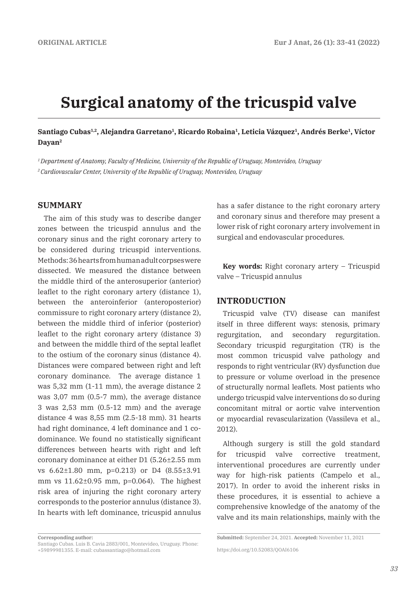# **Surgical anatomy of the tricuspid valve**

# Santiago Cubas<sup>1,2</sup>, Alejandra Garretano<sup>1</sup>, Ricardo Robaina<sup>1</sup>, Leticia Vázquez<sup>1</sup>, Andrés Berke<sup>1</sup>, Víctor **Dayan2**

*1 Department of Anatomy, Faculty of Medicine, University of the Republic of Uruguay, Montevideo, Uruguay 2 Cardiovascular Center, University of the Republic of Uruguay, Montevideo, Uruguay*

## **SUMMARY**

The aim of this study was to describe danger zones between the tricuspid annulus and the coronary sinus and the right coronary artery to be considered during tricuspid interventions. Methods: 36 hearts from human adult corpses were dissected. We measured the distance between the middle third of the anterosuperior (anterior) leaflet to the right coronary artery (distance 1), between the anteroinferior (anteroposterior) commissure to right coronary artery (distance 2), between the middle third of inferior (posterior) leaflet to the right coronary artery (distance 3) and between the middle third of the septal leaflet to the ostium of the coronary sinus (distance 4). Distances were compared between right and left coronary dominance. The average distance 1 was 5,32 mm (1-11 mm), the average distance 2 was 3,07 mm (0.5-7 mm), the average distance 3 was 2,53 mm (0.5-12 mm) and the average distance 4 was 8,55 mm (2.5-18 mm). 31 hearts had right dominance, 4 left dominance and 1 codominance. We found no statistically significant differences between hearts with right and left coronary dominance at either D1 (5.26±2.55 mm vs 6.62±1.80 mm, p=0.213) or D4 (8.55±3.91 mm vs 11.62±0.95 mm, p=0.064). The highest risk area of injuring the right coronary artery corresponds to the posterior annulus (distance 3). In hearts with left dominance, tricuspid annulus has a safer distance to the right coronary artery and coronary sinus and therefore may present a lower risk of right coronary artery involvement in surgical and endovascular procedures.

**Key words:** Right coronary artery – Tricuspid valve – Tricuspid annulus

#### **INTRODUCTION**

Tricuspid valve (TV) disease can manifest itself in three different ways: stenosis, primary regurgitation, and secondary regurgitation. Secondary tricuspid regurgitation (TR) is the most common tricuspid valve pathology and responds to right ventricular (RV) dysfunction due to pressure or volume overload in the presence of structurally normal leaflets. Most patients who undergo tricuspid valve interventions do so during concomitant mitral or aortic valve intervention or myocardial revascularization (Vassileva et al., 2012).

Although surgery is still the gold standard for tricuspid valve corrective treatment, interventional procedures are currently under way for high-risk patients (Campelo et al., 2017). In order to avoid the inherent risks in these procedures, it is essential to achieve a comprehensive knowledge of the anatomy of the valve and its main relationships, mainly with the

**Corresponding author:** 

Santiago Cubas. Luis B. Cavia 2883/001, Montevideo, Uruguay. Phone: +59899981355. E-mail: cubassantiago@hotmail.com

**Submitted:** September 24, 2021. **Accepted:** November 11, 2021

https://doi.org/10.52083/QOAI6106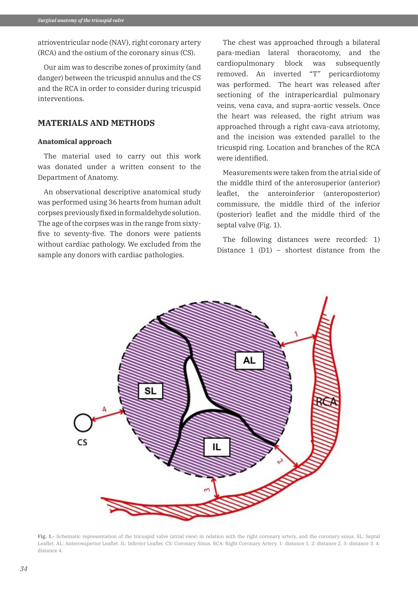atrioventricular node (NAV), right coronary artery (RCA) and the ostium of the coronary sinus (CS).

Our aim was to describe zones of proximity (and danger) between the tricuspid annulus and the CS and the RCA in order to consider during tricuspid interventions.

## **MATERIALS AND METHODS**

#### **Anatomical approach**

The material used to carry out this work was donated under a written consent to the Department of Anatomy.

An observational descriptive anatomical study was performed using 36 hearts from human adult corpses previously fixed in formaldehyde solution. The age of the corpses was in the range from sixtyfive to seventy-five. The donors were patients without cardiac pathology. We excluded from the sample any donors with cardiac pathologies.

The chest was approached through a bilateral para-median lateral thoracotomy, and the cardiopulmonary block was subsequently removed. An inverted "T" pericardiotomy was performed. The heart was released after sectioning of the intrapericardial pulmonary veins, vena cava, and supra-aortic vessels. Once the heart was released, the right atrium was approached through a right cava-cava atriotomy, and the incision was extended parallel to the tricuspid ring. Location and branches of the RCA were identified.

Measurements were taken from the atrial side of the middle third of the anterosuperior (anterior) leaflet, the anteroinferior (anteroposterior) commissure, the middle third of the inferior (posterior) leaflet and the middle third of the septal valve (Fig. 1).

The following distances were recorded: 1) Distance 1 (D1) – shortest distance from the



**Fig. 1.-** Schematic representation of the tricuspid valve (atrial view) in relation with the right coronary artery, and the coronary sinus. SL: Septal Leaflet. AL: Anterosuperior Leaflet. IL: Inferior Leaflet. CS: Coronary Sinus. RCA: Right Coronary Artery. 1: distance 1. 2: distance 2. 3: distance 3. 4: distance 4.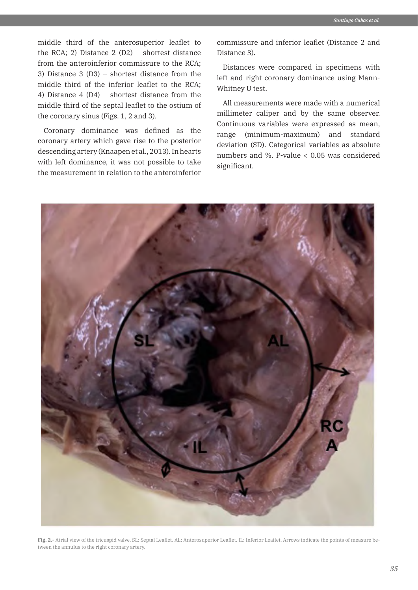middle third of the anterosuperior leaflet to the RCA; 2) Distance 2 (D2) – shortest distance from the anteroinferior commissure to the RCA; 3) Distance 3 (D3) – shortest distance from the middle third of the inferior leaflet to the RCA; 4) Distance 4 (D4) – shortest distance from the middle third of the septal leaflet to the ostium of the coronary sinus (Figs. 1, 2 and 3).

Coronary dominance was defined as the coronary artery which gave rise to the posterior descending artery (Knaapen et al., 2013). In hearts with left dominance, it was not possible to take the measurement in relation to the anteroinferior commissure and inferior leaflet (Distance 2 and Distance 3).

Distances were compared in specimens with left and right coronary dominance using Mann-Whitney U test.

All measurements were made with a numerical millimeter caliper and by the same observer. Continuous variables were expressed as mean, range (minimum-maximum) and standard deviation (SD). Categorical variables as absolute numbers and %. P-value < 0.05 was considered significant.



**Fig. 2.-** Atrial view of the tricuspid valve. SL: Septal Leaflet. AL: Anterosuperior Leaflet. IL: Inferior Leaflet. Arrows indicate the points of measure between the annulus to the right coronary artery.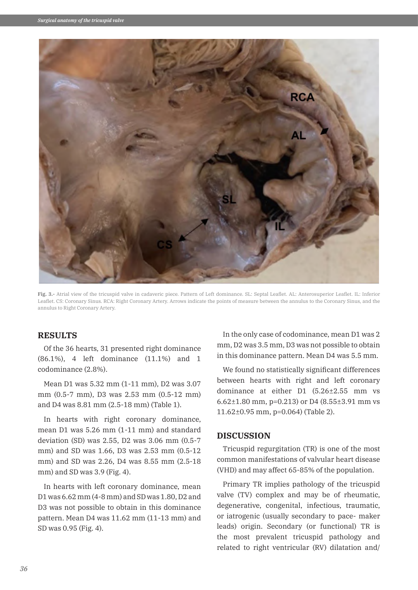

**Fig. 3.-** Atrial view of the tricuspid valve in cadaveric piece. Pattern of Left dominance. SL: Septal Leaflet. AL: Anterosuperior Leaflet. IL: Inferior Leaflet. CS: Coronary Sinus. RCA: Right Coronary Artery. Arrows indicate the points of measure between the annulus to the Coronary Sinus, and the annulus to Right Coronary Artery.

# **RESULTS**

Of the 36 hearts, 31 presented right dominance (86.1%), 4 left dominance (11.1%) and 1 codominance (2.8%).

Mean D1 was 5.32 mm (1-11 mm), D2 was 3.07 mm (0.5-7 mm), D3 was 2.53 mm (0.5-12 mm) and D4 was 8.81 mm (2.5-18 mm) (Table 1).

In hearts with right coronary dominance, mean D1 was 5.26 mm (1-11 mm) and standard deviation (SD) was 2.55, D2 was 3.06 mm (0.5-7 mm) and SD was 1.66, D3 was 2.53 mm (0.5-12 mm) and SD was 2.26, D4 was 8.55 mm (2.5-18 mm) and SD was 3.9 (Fig. 4).

In hearts with left coronary dominance, mean D1 was 6.62 mm (4-8 mm) and SD was 1.80, D2 and D3 was not possible to obtain in this dominance pattern. Mean D4 was 11.62 mm (11-13 mm) and SD was 0.95 (Fig. 4).

In the only case of codominance, mean D1 was 2 mm, D2 was 3.5 mm, D3 was not possible to obtain in this dominance pattern. Mean D4 was 5.5 mm.

We found no statistically significant differences between hearts with right and left coronary dominance at either D1 (5.26±2.55 mm vs 6.62±1.80 mm, p=0.213) or D4 (8.55±3.91 mm vs 11.62±0.95 mm, p=0.064) (Table 2).

#### **DISCUSSION**

Tricuspid regurgitation (TR) is one of the most common manifestations of valvular heart disease (VHD) and may affect 65-85% of the population.

Primary TR implies pathology of the tricuspid valve (TV) complex and may be of rheumatic, degenerative, congenital, infectious, traumatic, or iatrogenic (usually secondary to pace- maker leads) origin. Secondary (or functional) TR is the most prevalent tricuspid pathology and related to right ventricular (RV) dilatation and/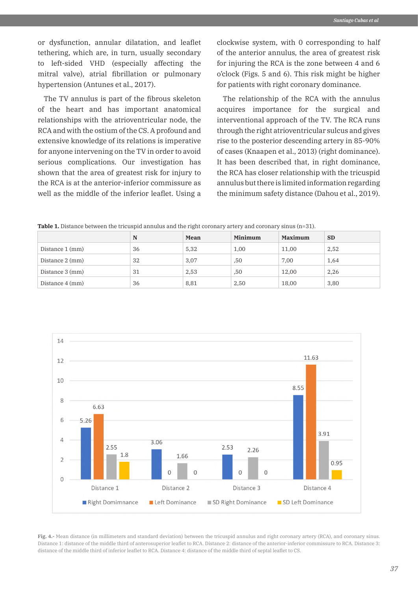or dysfunction, annular dilatation, and leaflet tethering, which are, in turn, usually secondary to left-sided VHD (especially affecting the mitral valve), atrial fibrillation or pulmonary hypertension (Antunes et al., 2017).

The TV annulus is part of the fibrous skeleton of the heart and has important anatomical relationships with the atrioventricular node, the RCA and with the ostium of the CS. A profound and extensive knowledge of its relations is imperative for anyone intervening on the TV in order to avoid serious complications. Our investigation has shown that the area of greatest risk for injury to the RCA is at the anterior-inferior commissure as well as the middle of the inferior leaflet. Using a

clockwise system, with 0 corresponding to half of the anterior annulus, the area of greatest risk for injuring the RCA is the zone between 4 and 6 o'clock (Figs. 5 and 6). This risk might be higher for patients with right coronary dominance.

The relationship of the RCA with the annulus acquires importance for the surgical and interventional approach of the TV. The RCA runs through the right atrioventricular sulcus and gives rise to the posterior descending artery in 85-90% of cases (Knaapen et al., 2013) (right dominance). It has been described that, in right dominance, the RCA has closer relationship with the tricuspid annulus but there is limited information regarding the minimum safety distance (Dahou et al., 2019).

**Table 1.** Distance between the tricuspid annulus and the right coronary artery and coronary sinus (n=31).

|                 | N  | Mean | Minimum | <b>Maximum</b> | <b>SD</b> |
|-----------------|----|------|---------|----------------|-----------|
| Distance 1 (mm) | 36 | 5,32 | 1,00    | 11,00          | 2,52      |
| Distance 2 (mm) | 32 | 3,07 | ,50     | 7,00           | 1,64      |
| Distance 3 (mm) | 31 | 2,53 | ,50     | 12,00          | 2,26      |
| Distance 4 (mm) | 36 | 8,81 | 2,50    | 18,00          | 3,80      |



**Fig. 4.-** Mean distance (in millimeters and standard deviation) between the tricuspid annulus and right coronary artery (RCA), and coronary sinus. Distance 1: distance of the middle third of anterosuperior leaflet to RCA. Distance 2: distance of the anterior-inferior commissure to RCA. Distance 3: distance of the middle third of inferior leaflet to RCA. Distance 4: distance of the middle third of septal leaflet to CS.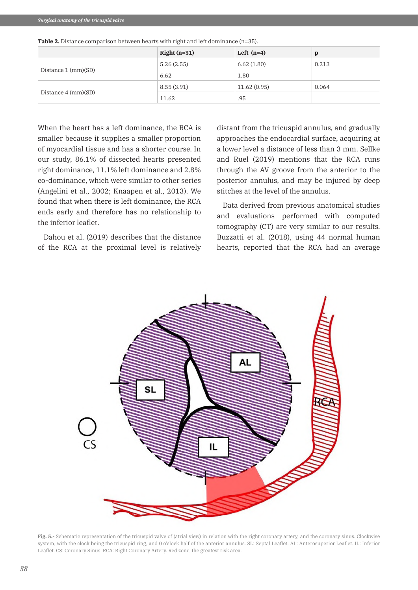|  | <b>Table 2.</b> Distance comparison between hearts with right and left dominance $(n=35)$ . |  |
|--|---------------------------------------------------------------------------------------------|--|
|--|---------------------------------------------------------------------------------------------|--|

|                                 | Right $(n=31)$ | Left $(n=4)$ |       |
|---------------------------------|----------------|--------------|-------|
|                                 | 5.26(2.55)     | 6.62(1.80)   | 0.213 |
| Distance $1 \, \text{(mm)(SD)}$ | 6.62           | 1.80         |       |
|                                 | 8.55(3.91)     | 11.62(0.95)  | 0.064 |
| Distance $4 \, \text{(mm)(SD)}$ | 11.62          | .95          |       |

When the heart has a left dominance, the RCA is smaller because it supplies a smaller proportion of myocardial tissue and has a shorter course. In our study, 86.1% of dissected hearts presented right dominance, 11.1% left dominance and 2.8% co-dominance, which were similar to other series (Angelini et al., 2002; Knaapen et al., 2013). We found that when there is left dominance, the RCA ends early and therefore has no relationship to the inferior leaflet.

Dahou et al. (2019) describes that the distance of the RCA at the proximal level is relatively distant from the tricuspid annulus, and gradually approaches the endocardial surface, acquiring at a lower level a distance of less than 3 mm. Sellke and Ruel (2019) mentions that the RCA runs through the AV groove from the anterior to the posterior annulus, and may be injured by deep stitches at the level of the annulus.

Data derived from previous anatomical studies and evaluations performed with computed tomography (CT) are very similar to our results. Buzzatti et al. (2018), using 44 normal human hearts, reported that the RCA had an average



**Fig. 5.-** Schematic representation of the tricuspid valve of (atrial view) in relation with the right coronary artery, and the coronary sinus. Clockwise system, with the clock being the tricuspid ring, and 0 o'clock half of the anterior annulus. SL: Septal Leaflet. AL: Anterosuperior Leaflet. IL: Inferior Leaflet. CS: Coronary Sinus. RCA: Right Coronary Artery. Red zone, the greatest risk area.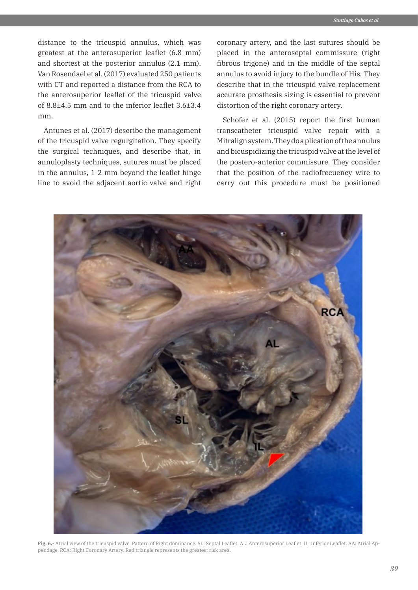distance to the tricuspid annulus, which was greatest at the anterosuperior leaflet (6.8 mm) and shortest at the posterior annulus (2.1 mm). Van Rosendael et al. (2017) evaluated 250 patients with CT and reported a distance from the RCA to the anterosuperior leaflet of the tricuspid valve of 8.8±4.5 mm and to the inferior leaflet 3.6±3.4 mm.

Antunes et al. (2017) describe the management of the tricuspid valve regurgitation. They specify the surgical techniques, and describe that, in annuloplasty techniques, sutures must be placed in the annulus, 1-2 mm beyond the leaflet hinge line to avoid the adjacent aortic valve and right coronary artery, and the last sutures should be placed in the anteroseptal commissure (right fibrous trigone) and in the middle of the septal annulus to avoid injury to the bundle of His. They describe that in the tricuspid valve replacement accurate prosthesis sizing is essential to prevent distortion of the right coronary artery.

Schofer et al. (2015) report the first human transcatheter tricuspid valve repair with a Mitralign system. They do a plication of the annulus and bicuspidizing the tricuspid valve at the level of the postero-anterior commissure. They consider that the position of the radiofrecuency wire to carry out this procedure must be positioned



**Fig. 6.-** Atrial view of the tricuspid valve. Pattern of Right dominance. SL: Septal Leaflet. AL: Anterosuperior Leaflet. IL: Inferior Leaflet. AA: Atrial Appendage. RCA: Right Coronary Artery. Red triangle represents the greatest risk area.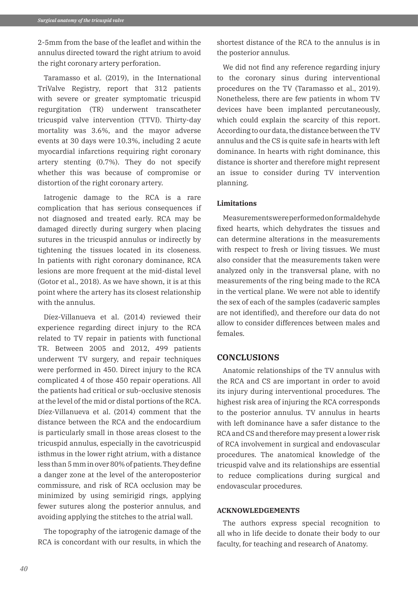2-5mm from the base of the leaflet and within the annulus directed toward the right atrium to avoid the right coronary artery perforation.

Taramasso et al. (2019), in the International TriValve Registry, report that 312 patients with severe or greater symptomatic tricuspid regurgitation (TR) underwent transcatheter tricuspid valve intervention (TTVI). Thirty-day mortality was 3.6%, and the mayor adverse events at 30 days were 10.3%, including 2 acute myocardial infarctions requiring right coronary artery stenting (0.7%). They do not specify whether this was because of compromise or distortion of the right coronary artery.

Iatrogenic damage to the RCA is a rare complication that has serious consequences if not diagnosed and treated early. RCA may be damaged directly during surgery when placing sutures in the tricuspid annulus or indirectly by tightening the tissues located in its closeness. In patients with right coronary dominance, RCA lesions are more frequent at the mid-distal level (Gotor et al., 2018). As we have shown, it is at this point where the artery has its closest relationship with the annulus.

Díez-Villanueva et al. (2014) reviewed their experience regarding direct injury to the RCA related to TV repair in patients with functional TR. Between 2005 and 2012, 499 patients underwent TV surgery, and repair techniques were performed in 450. Direct injury to the RCA complicated 4 of those 450 repair operations. All the patients had critical or sub-occlusive stenosis at the level of the mid or distal portions of the RCA. Díez-Villanueva et al. (2014) comment that the distance between the RCA and the endocardium is particularly small in those areas closest to the tricuspid annulus, especially in the cavotricuspid isthmus in the lower right atrium, with a distance less than 5 mm in over 80% of patients. They define a danger zone at the level of the anteroposterior commissure, and risk of RCA occlusion may be minimized by using semirigid rings, applying fewer sutures along the posterior annulus, and avoiding applying the stitches to the atrial wall.

The topography of the iatrogenic damage of the RCA is concordant with our results, in which the shortest distance of the RCA to the annulus is in the posterior annulus.

We did not find any reference regarding injury to the coronary sinus during interventional procedures on the TV (Taramasso et al., 2019). Nonetheless, there are few patients in whom TV devices have been implanted percutaneously, which could explain the scarcity of this report. According to our data, the distance between the TV annulus and the CS is quite safe in hearts with left dominance. In hearts with right dominance, this distance is shorter and therefore might represent an issue to consider during TV intervention planning.

## **Limitations**

Measurements were performed on formaldehyde fixed hearts, which dehydrates the tissues and can determine alterations in the measurements with respect to fresh or living tissues. We must also consider that the measurements taken were analyzed only in the transversal plane, with no measurements of the ring being made to the RCA in the vertical plane. We were not able to identify the sex of each of the samples (cadaveric samples are not identified), and therefore our data do not allow to consider differences between males and females.

# **CONCLUSIONS**

Anatomic relationships of the TV annulus with the RCA and CS are important in order to avoid its injury during interventional procedures. The highest risk area of injuring the RCA corresponds to the posterior annulus. TV annulus in hearts with left dominance have a safer distance to the RCA and CS and therefore may present a lower risk of RCA involvement in surgical and endovascular procedures. The anatomical knowledge of the tricuspid valve and its relationships are essential to reduce complications during surgical and endovascular procedures.

### **ACKNOWLEDGEMENTS**

The authors express special recognition to all who in life decide to donate their body to our faculty, for teaching and research of Anatomy.